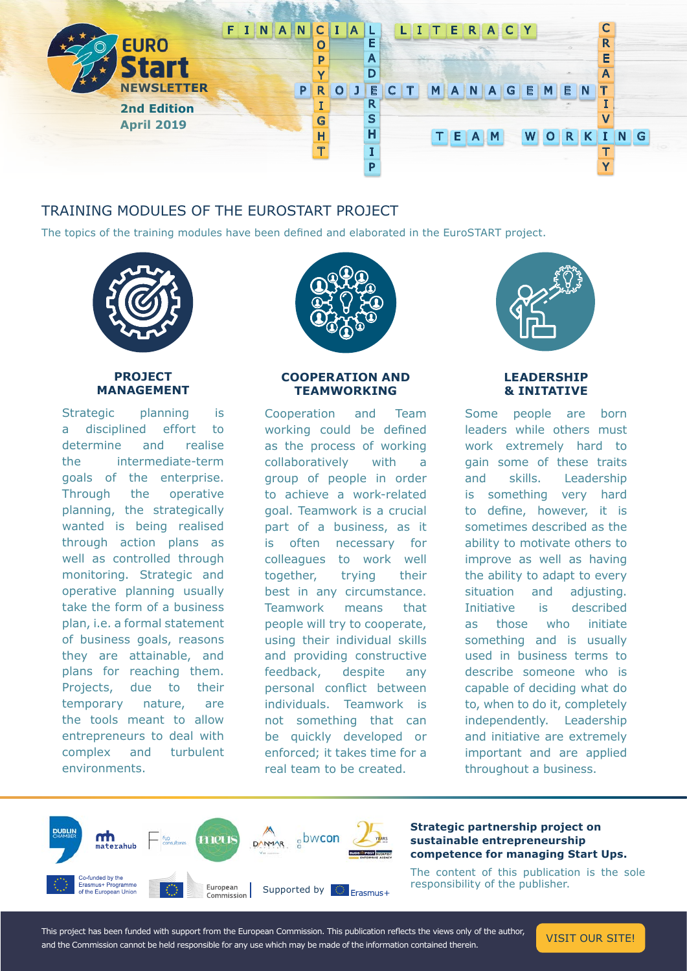

# TRAINING MODULES OF THE EUROSTART PROJECT

The topics of the training modules have been defined and elaborated in the EuroSTART project.



## **PROJECT MANAGEMENT**

Strategic planning is a disciplined effort to determine and realise the intermediate-term goals of the enterprise. Through the operative planning, the strategically wanted is being realised through action plans as well as controlled through monitoring. Strategic and operative planning usually take the form of a business plan, i.e. a formal statement of business goals, reasons they are attainable, and plans for reaching them. Projects, due to their temporary nature, are the tools meant to allow entrepreneurs to deal with complex and turbulent environments.



#### **COOPERATION AND TEAMWORKING**

Cooperation and Team working could be defined as the process of working collaboratively with a group of people in order to achieve a work-related goal. Teamwork is a crucial part of a business, as it is often necessary for colleagues to work well together, trying their best in any circumstance. Teamwork means that people will try to cooperate, using their individual skills and providing constructive feedback, despite any personal conflict between individuals. Teamwork is not something that can be quickly developed or enforced; it takes time for a real team to be created.



## **LEADERSHIP & INITATIVE**

Some people are born leaders while others must work extremely hard to gain some of these traits and skills. Leadership is something very hard to define, however, it is sometimes described as the ability to motivate others to improve as well as having the ability to adapt to every situation and adjusting. Initiative is described as those who initiate something and is usually used in business terms to describe someone who is capable of deciding what do to, when to do it, completely independently. Leadership and initiative are extremely important and are applied throughout a business.



#### **Strategic partnership project on sustainable entrepreneurship competence for managing Start Ups.**

The content of this publication is the sole responsibility of the publisher.

This project has been funded with support from the European Commission. This publication reflects the views only of the author, This project has been runded with support from the European Commission. This publication reflects the views only of the author, [VISIT OUR SITE!](https://eurostart-project.eu/)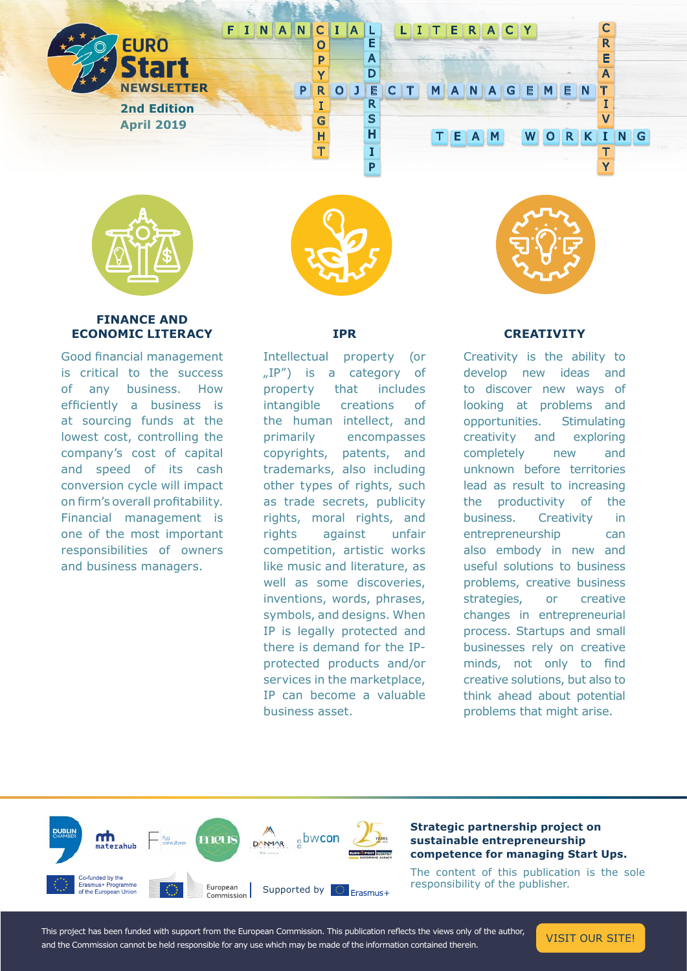

### **FINANCE AND ECONOMIC LITERACY**

Good financial management is critical to the success of any business. How efficiently a business is at sourcing funds at the lowest cost, controlling the company's cost of capital and speed of its cash conversion cycle will impact on firm's overall profitability. Financial management is one of the most important responsibilities of owners and business managers.



#### **IPR**

Intellectual property (or "IP") is a category of property that includes intangible creations of the human intellect, and primarily encompasses copyrights, patents, and trademarks, also including other types of rights, such as trade secrets, publicity rights, moral rights, and rights against unfair competition, artistic works like music and literature, as well as some discoveries, inventions, words, phrases, symbols, and designs. When IP is legally protected and there is demand for the IPprotected products and/or services in the marketplace, IP can become a valuable business asset.

## **CREATIVITY**

Creativity is the ability to develop new ideas and to discover new ways of looking at problems and opportunities. Stimulating creativity and exploring completely new and unknown before territories lead as result to increasing the productivity of the business. Creativity in entrepreneurship can also embody in new and useful solutions to business problems, creative business strategies, or creative changes in entrepreneurial process. Startups and small businesses rely on creative minds, not only to find creative solutions, but also to think ahead about potential problems that might arise.



This project has been funded with support from the European Commission. This publication reflects the views only of the author, This project has been runded with support from the European Commission. This publication reflects the views only of the author, [VISIT OUR SITE!](https://eurostart-project.eu/)